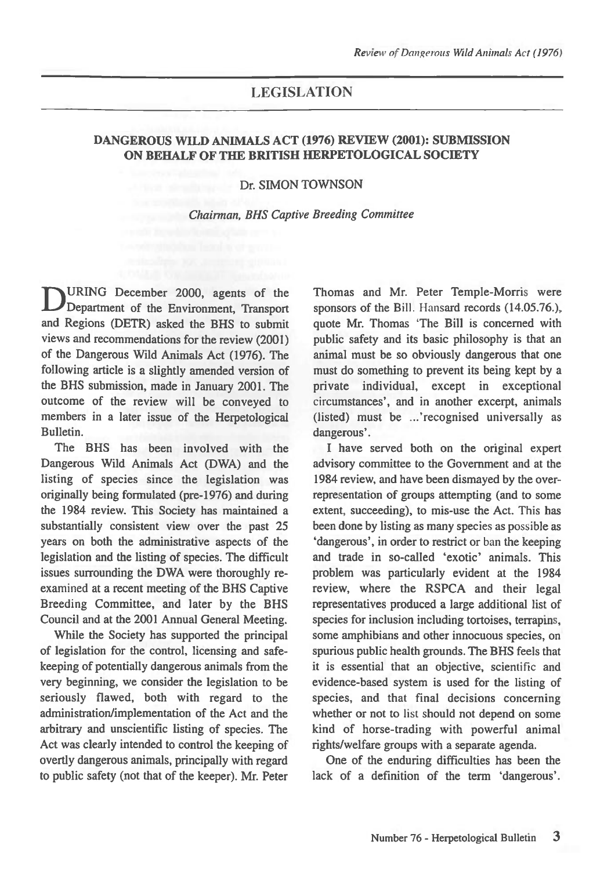# LEGISLATION

# **DANGEROUS WILD ANIMALS ACT (1976) REVIEW (2001): SUBMISSION ON BEHALF OF THE BRITISH HERPETOLOGICAL SOCIETY**

### Dr. SIMON TOWNSON

## *Chairman, BHS Captive Breeding Committee*

D URING December 2000, agents of the **Department** of the Environment, Transport and Regions (DETR) asked the BHS to submit views and recommendations for the review (2001) of the Dangerous Wild Animals Act (1976). The following article is a slightly amended version of the BHS submission, made in January 2001. The outcome of the review will be conveyed to members in a later issue of the Herpetological Bulletin.

The BHS has been involved with the Dangerous Wild Animals Act (DWA) and the listing of species since the legislation was originally being formulated (pre-1976) and during the 1984 review. This Society has maintained a substantially consistent view over the past 25 years on both the administrative aspects of the legislation and the listing of species. The difficult issues surrounding the DWA were thoroughly reexamined at a recent meeting of the BHS Captive Breeding Committee, and later by the BHS Council and at the 2001 Annual General Meeting.

While the Society has supported the principal of legislation for the control, licensing and safekeeping of potentially dangerous animals from the very beginning, we consider the legislation to be seriously flawed, both with regard to the administration/implementation of the Act and the arbitrary and unscientific listing of species. The Act was clearly intended to control the keeping of overtly dangerous animals, principally with regard to public safety (not that of the keeper). Mr. Peter Thomas and Mr. Peter Temple-Morris were sponsors of the Bill. Hansard records (14.05.76.), quote Mr. Thomas 'The Bill is concerned with public safety and its basic philosophy is that an animal must be so obviously dangerous that one must do something to prevent its being kept by a private individual, except in exceptional circumstances', and in another excerpt, animals (listed) must be ...'recognised universally as dangerous'.

I have served both on the original expert advisory committee to the Government and at the 1984 review, and have been dismayed by the overrepresentation of groups attempting (and to some extent, succeeding), to mis-use the Act. This has been done by listing as many species as possible as `dangerous', in order to restrict or ban the keeping and trade in so-called 'exotic' animals. This problem was particularly evident at the 1984 review, where the RSPCA and their legal representatives produced a large additional list of species for inclusion including tortoises, terrapins, some amphibians and other innocuous species, on spurious public health grounds. The BHS feels that it is essential that an objective, scientific and evidence-based system is used for the listing of species, and that final decisions concerning whether or not to list should not depend on some kind of horse-trading with powerful animal rights/welfare groups with a separate agenda.

One of the enduring difficulties has been the lack of a definition of the term 'dangerous'.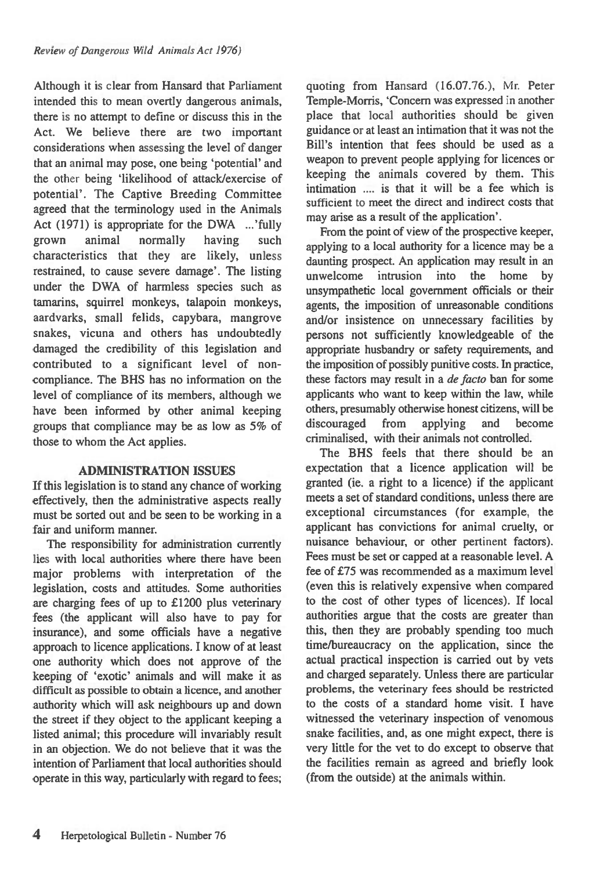Although it is clear from Hansard that Parliament intended this to mean overtly dangerous animals, there is no attempt to define or discuss this in the Act. We believe there are two important considerations when assessing the level of danger that an animal may pose, one being 'potential' and the other being 'likelihood of attack/exercise of potential'. The Captive Breeding Committee agreed that the terminology used in the Animals Act (1971) is appropriate for the DWA ...'fully grown animal normally having such characteristics that they are likely, unless restrained, to cause severe damage'. The listing under the DWA of harmless species such as tamarins, squirrel monkeys, talapoin monkeys, aardvarks, small felids, capybara, mangrove snakes, vicuna and others has undoubtedly damaged the credibility of this legislation and contributed to a significant level of noncompliance. The BHS has no information on the level of compliance of its members, although we have been informed by other animal keeping groups that compliance may be as low as 5% of those to whom the Act applies.

# **ADMINISTRATION ISSUES**

If this legislation is to stand any chance of working effectively, then the administrative aspects really must be sorted out and be seen to be working in a fair and uniform manner.

The responsibility for administration currently lies with local authorities where there have been major problems with interpretation of the legislation, costs and attitudes. Some authorities are charging fees of up to £1200 plus veterinary fees (the applicant will also have to pay for insurance), and some officials have a negative approach to licence applications. I know of at least one authority which does not approve of the keeping of 'exotic' animals and will make it as difficult as possible to obtain a licence, and another authority which will ask neighbours up and down the street if they object to the applicant keeping a listed animal; this procedure will invariably result in an objection. We do not believe that it was the intention of Parliament that local authorities should operate in this way, particularly with regard to fees; quoting from Hansard (16.07.76.), Mr. Peter Temple-Morris, 'Concern was expressed in another place that local authorities should be given guidance or at least an intimation that it was not the Bill's intention that fees should be used as a weapon to prevent people applying for licences or keeping the animals covered by them. This intimation .... is that it will be a fee which is sufficient to meet the direct and indirect costs that may arise as a result of the application'.

From the point of view of the prospective keeper, applying to a local authority for a licence may be a daunting prospect. An application may result in an unwelcome intrusion into the home by unsympathetic local government officials or their agents, the imposition of unreasonable conditions and/or insistence on unnecessary facilities by persons not sufficiently knowledgeable of the appropriate husbandry or safety requirements, and the imposition of possibly punitive costs. In practice, these factors may result in a *de facto* ban for some applicants who want to keep within the law, while others, presumably otherwise honest citizens, will be discouraged from applying and become criminalised, with their animals not controlled.

The BHS feels that there should be an expectation that a licence application will be granted (ie. a right to a licence) if the applicant meets a set of standard conditions, unless there are exceptional circumstances (for example, the applicant has convictions for animal cruelty, or nuisance behaviour, or other pertinent factors). Fees must be set or capped at a reasonable level. A fee of £75 was recommended as a maximum level (even this is relatively expensive when compared to the cost of other types of licences). If local authorities argue that the costs are greater than this, then they are probably spending too much time/bureaucracy on the application, since the actual practical inspection is carried out by vets and charged separately. Unless there are particular problems, the veterinary fees should be restricted to the costs of a standard home visit. I have witnessed the veterinary inspection of venomous snake facilities, and, as one might expect, there is very little for the vet to do except to observe that the facilities remain as agreed and briefly look (from the outside) at the animals within.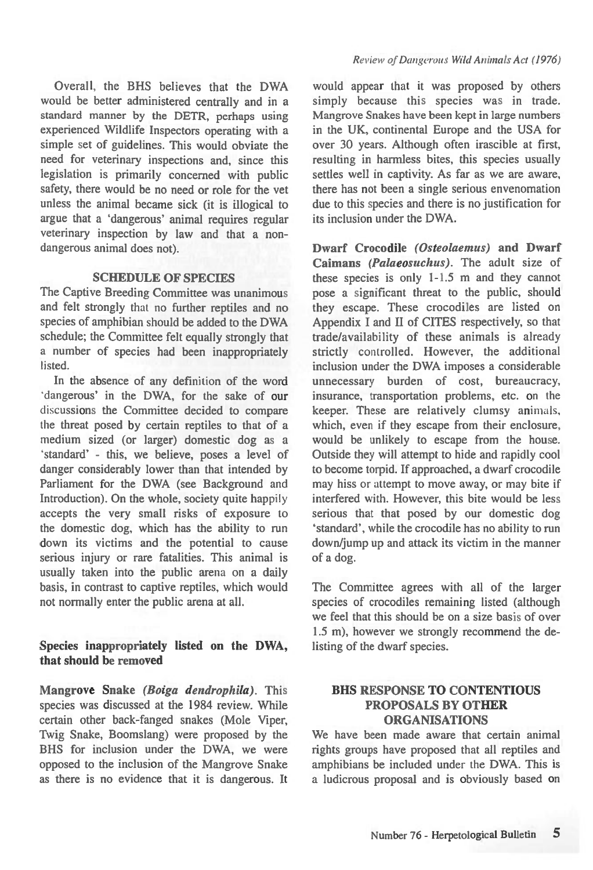Overall, the BHS believes that the DWA would be better administered centrally and in a standard manner by the DETR, perhaps using experienced Wildlife Inspectors operating with a simple set of guidelines. This would obviate the need for veterinary inspections and, since this legislation is primarily concerned with public safety, there would be no need or role for the vet unless the animal became sick (it is illogical to argue that a 'dangerous' animal requires regular veterinary inspection by law and that a nondangerous animal does not).

#### **SCHEDULE OF SPECIES**

The Captive Breeding Committee was unanimous and felt strongly that no further reptiles and no species of amphibian should be added to the DWA schedule; the Committee felt equally strongly that a number of species had been inappropriately listed.

In the absence of any definition of the word `dangerous' in the DWA, for the sake of our discussions the Committee decided to compare the threat posed by certain reptiles to that of a medium sized (or larger) domestic dog as a `standard' - this, we believe, poses a level of danger considerably lower than that intended by Parliament for the DWA (see Background and Introduction). On the whole, society quite happily accepts the very small risks of exposure to the domestic dog, which has the ability to run down its victims and the potential to cause serious injury or rare fatalities. This animal is usually taken into the public arena on a daily basis, in contrast to captive reptiles, which would not normally enter the public arena at all.

# **Species inappropriately listed on the DWA, that should be removed**

**Mangrove Snake** *(Boiga dendrophila).* This species was discussed at the 1984 review. While certain other back-fanged snakes (Mole Viper, Twig Snake, Boomslang) were proposed by the BHS for inclusion under the DWA, we were opposed to the inclusion of the Mangrove Snake as there is no evidence that it is dangerous. It would appear that it was proposed by others simply because this species was in trade. Mangrove Snakes have been kept in large numbers in the UK, continental Europe and the USA for over 30 years. Although often irascible at first, resulting in harmless bites, this species usually settles well in captivity. As far as we are aware, there has not been a single serious envenomation due to this species and there is no justification for its inclusion under the DWA.

**Dwarf Crocodile** *(Osteolaemus)* **and Dwarf Caimans** *(Palaeosuchus).* The adult size of these species is only 1-1.5 m and they cannot pose a significant threat to the public, should they escape. These crocodiles are listed on Appendix I and II of CITES respectively, so that trade/availability of these animals is already strictly controlled. However, the additional inclusion under the DWA imposes a considerable unnecessary burden of cost, bureaucracy, insurance, transportation problems, etc. on the keeper. These are relatively clumsy animals, which, even if they escape from their enclosure, would be unlikely to escape from the house. Outside they will attempt to hide and rapidly cool to become torpid. If approached, a dwarf crocodile may hiss or attempt to move away, or may bite if interfered with. However, this bite would be less serious that that posed by our domestic dog `standard', while the crocodile has no ability to run down/jump up and attack its victim in the manner of a dog.

The Committee agrees with all of the larger species of crocodiles remaining listed (although we feel that this should be on a size basis of over 1.5 m), however we strongly recommend the delisting of the dwarf species.

# **BHS RESPONSE TO CONTENTIOUS PROPOSALS BY OTHER ORGANISATIONS**

We have been made aware that certain animal rights groups have proposed that all reptiles and amphibians be included under the DWA. This is a ludicrous proposal and is obviously based on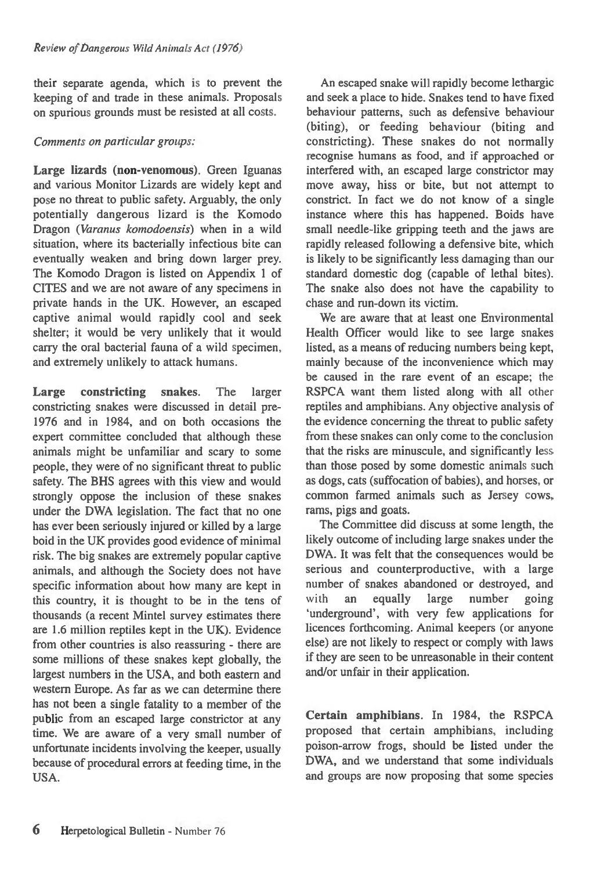their separate agenda, which is to prevent the keeping of and trade in these animals. Proposals on spurious grounds must be resisted at all costs.

# *Comments on particular groups:*

**Large lizards (non-venomous).** Green Iguanas and various Monitor Lizards are widely kept and pose no threat to public safety. Arguably, the only potentially dangerous lizard is the Komodo Dragon *(Varanus komodoensis)* when in a wild situation, where its bacterially infectious bite can eventually weaken and bring down larger prey. The Komodo Dragon is listed on Appendix 1 of CITES and we are not aware of any specimens in private hands in the UK. However, an escaped captive animal would rapidly cool and seek shelter; it would be very unlikely that it would carry the oral bacterial fauna of a wild specimen, and extremely unlikely to attack humans.

**Large constricting snakes.** The larger constricting snakes were discussed in detail pre-1976 and in 1984, and on both occasions the expert committee concluded that although these animals might be unfamiliar and scary to some people, they were of no significant threat to public safety. The BHS agrees with this view and would strongly oppose the inclusion of these snakes under the DWA legislation. The fact that no one has ever been seriously injured or killed by a large boid in the UK provides good evidence of minimal risk. The big snakes are extremely popular captive animals, and although the Society does not have specific information about how many are kept in this country, it is thought to be in the tens of thousands (a recent Mintel survey estimates there are 1.6 million reptiles kept in the UK). Evidence from other countries is also reassuring - there are some millions of these snakes kept globally, the largest numbers in the USA, and both eastern and western Europe. As far as we can determine there has not been a single fatality to a member of the public from an escaped large constrictor at any time. We are aware of a very small number of unfortunate incidents involving the keeper, usually because of procedural errors at feeding time, in the USA.

An escaped snake will rapidly become lethargic and seek a place to hide. Snakes tend to have fixed behaviour patterns, such as defensive behaviour (biting), or feeding behaviour (biting and constricting). These snakes do not normally recognise humans as food, and if approached or interfered with, an escaped large constrictor may move away, hiss or bite, but not attempt to constrict. In fact we do not know of a single instance where this has happened. Boids have small needle-like gripping teeth and the jaws are rapidly released following a defensive bite, which is likely to be significantly less damaging than our standard domestic dog (capable of lethal bites). The snake also does not have the capability to chase and run-down its victim.

We are aware that at least one Environmental Health Officer would like to see large snakes listed, as a means of reducing numbers being kept, mainly because of the inconvenience which may be caused in the rare event of an escape; the RSPCA want them listed along with all other reptiles and amphibians. Any objective analysis of the evidence concerning the threat to public safety from these snakes can only come to the conclusion that the risks are minuscule, and significantly less than those posed by some domestic animals such as dogs, cats (suffocation of babies), and horses, or common farmed animals such as Jersey cows, rams, pigs and goats.

The Committee did discuss at some length, the likely outcome of including large snakes under the DWA. It was felt that the consequences would be serious and counterproductive, with a large number of snakes abandoned or destroyed, and with an equally large number going `underground', with very few applications for licences forthcoming. Animal keepers (or anyone else) are not likely to respect or comply with laws if they are seen to be unreasonable in their content and/or unfair in their application.

**Certain amphibians.** In 1984, the RSPCA proposed that certain amphibians, including poison-arrow frogs, should be listed under the DWA, and we understand that some individuals and groups are now proposing that some species